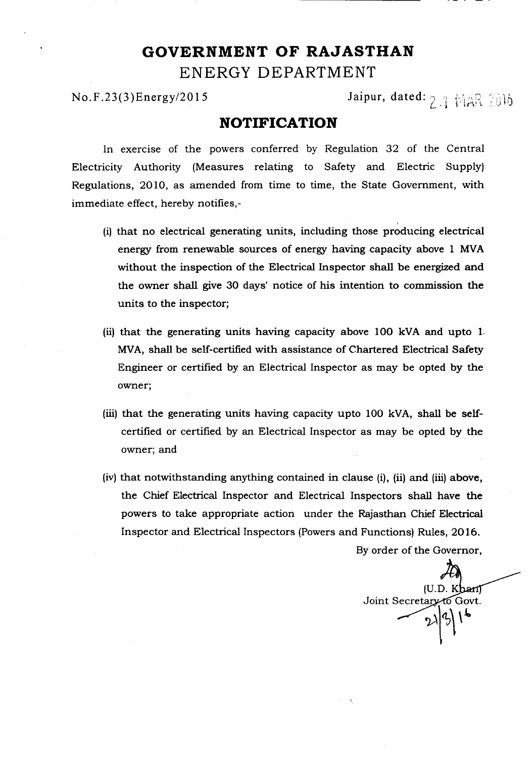ENERGY DEPARTMENT

No.F .23(3)Energy/20 15

Jaipur, dated: 2.3 MAR 2016

#### **NOTIFICATION**

In exercise of the powers conferred by Regulation 32 of the Central Electricity Authority (Measures relating to Safety and Electric Supply) Regulations, 2010, as amended from time to time, the State Government, with immediate effect, hereby notifies,-

- (i) that no electrical generating units, including those producing electrical energy from renewable sources of energy having capacity above 1 MVA without the inspection of the Electrical Inspector shall be energized and the owner shall give 30 days' notice of his intention to commission the units to the inspector;
- (ii) that the generating units having capacity above 100 kVA and upto 1. MVA, shall be self-certified with assistance of Chartered Electrical Safety Engineer or certified by an Electrical Inspector as may be opted by the owner;
- (iii) that the generating units having capacity upto 100 kVA, shall be selfcertified or certified by an Electrical Inspector as may be opted by the owner; and
- (iv) that notwithstanding anything contained in clause (i), (ii) and (iii) above, the Chief Electrical Inspector and Electrical Inspectors shall have the powers to take appropriate action under the Rajasthan Chief Electrical Inspector and Electrical Inspectors (Powersand Functions) Rules, 2016.

Byorder of the Govemor,

(U.D. Khant Joint Secretary to Govt.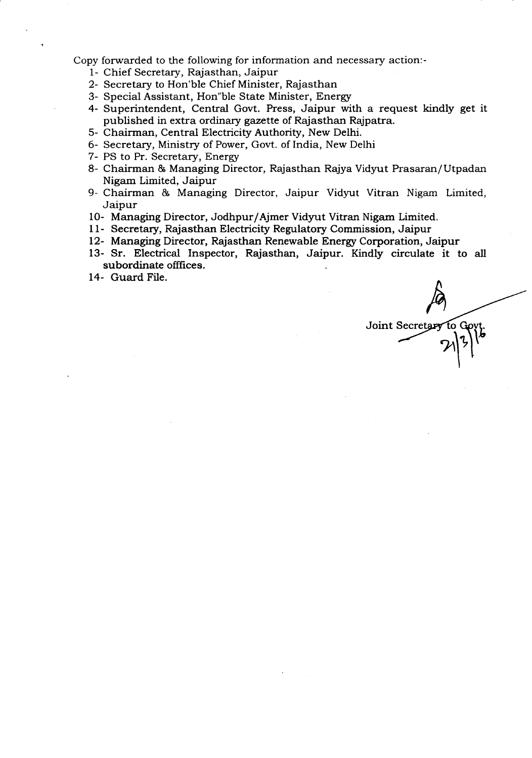- 1- Chief Secretary, Rajasthan, Jaipur
- 2- Secretary to Hon'ble Chief Minister, Rajasthan
- 3- Special Assistant, Hon"ble State Minister, Energy
- 4- Superintendent, Central Govt. Press, Jaipur with a request kindly get it published in extra ordinary gazette of Rajasthan Rajpatra.
- 5- Chairman, Central Electricity Authority, New Delhi.
- 6- Secretary, Ministry of Power, Govt. of India, New Delhi
- 7- PS to Pr. Secretary, Energy
- 8- Chairman & Managing Director, Rajasthan Rajya Vidyut Prasaran/Utpadan Nigam Limited, Jaipur
- 9- Chairman & Managing Director, Jaipur Vidyut Vitran Nigam Limited, Jaipur
- 10- Managing Director, Jodhpur/Ajmer Vidyut Vitran Nigam Limited.
- 11- Secretary, Rajasthan Electricity Regulatory Commission, Jaipur
- 12- Managing Director, Rajasthan Renewable Energy Corporation, Jaipur
- 13- Sr. Electrical Inspector, Rajasthan, Jaipur. Kindly circulate it to all subordinate offfices.
- 14- Guard File.

Joint Secreta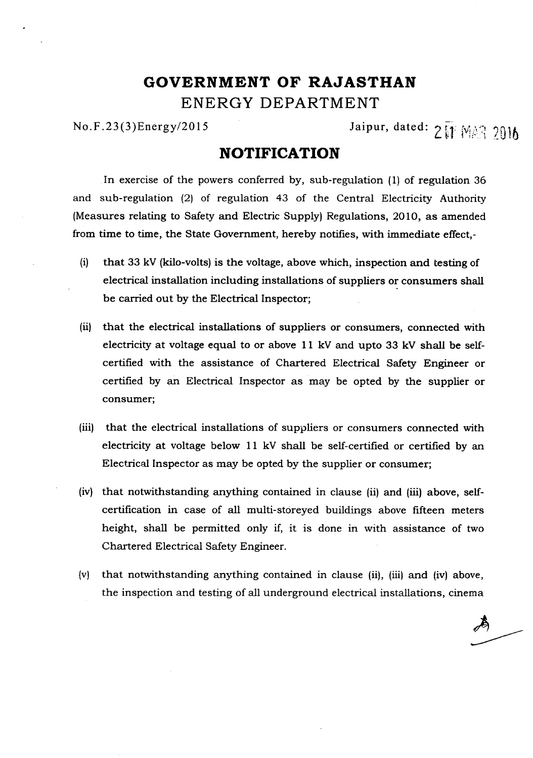# **GOVERNMENT OF RAJASTHAN ENERGY DEPARTMENT**

**No.F.23(3)Energy/2015** Jaipur, dated: 2  $\overline{N}$  MAR 2016

#### **NOTIFICATION**

In exercise of the powers conferred by, sub-regulation (1) of regulation 36 and sub-regulation (2) of regulation 43 of the Central Electricity Authority (Measures relating to Safety and Electric Supply) Regulations, 2010, as amended from time to time, the State Government, hereby notifies, with immediate effect,-

- (i) that 33 kV (kilo-volts) is the voltage, above which, inspection and testing of electrical installation including installations of suppliers or consumers shall be carried out by the Electrical Inspector;
- (ii) that the electrical installations of suppliers or consumers, connected with electricity at voltage equal to or above **11** kV and upto 33 kV shall be selfcertified with the assistance of Chartered Electrical Safety Engineer or certified by an Electrical Inspector as may be opted by the supplier or consumer;
- (iii) that the electrical installations of suppliers or consumers connected with electricity at voltage below 11 kV shall be self-certified or certified by an Electrical Inspector as may be opted by the supplier or consumer;
- (iv) that notwithstanding anything contained in clause (ii) and (iii) above, selfcertification in case of all multi-storeyed buildings above fifteen meters height, shall be permitted only if, it is done in with assistance of two Chartered Electrical Safety Engineer.
- (v) that notwithstanding anything contained in clause (ii), (iii) and (iv) above, the inspection and testing of all underground electrical installations, cinema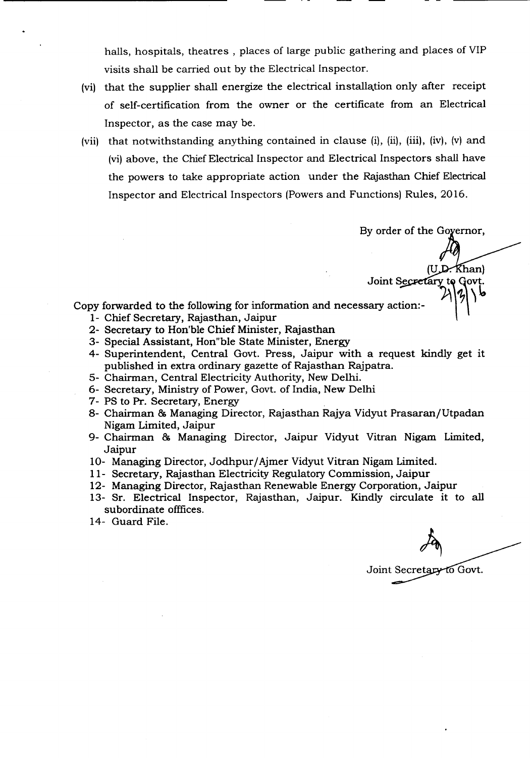halls, hospitals, theatres , places of large public gathering and places of VIP visits shall be carried out by the Electrical Inspector.

- (vi) that the supplier shall energize the electrical installation only after receipt of self-certification from the owner or the certificate from an Electrical Inspector, as the case may be.
- (vii) that notwithstanding anything contained in clause  $(i)$ ,  $(ii)$ ,  $(iii)$ ,  $(iv)$ ,  $(v)$  and (vi) above, the Chief Electrical Inspector and Electrical Inspectors shall have the powers to take appropriate action under the Rajasthan Chief Electrical Inspector and Electrical Inspectors (Powersand Functions) Rules, 2016.

By order of the Governor,

 $D$ . Khan) Joint Secretary to Govt.

Copy forwarded to the following for information and necessary action:-

- 1- Chief Secretary, Rajasthan, Jaipur
- 2- Secretary to Hon'ble Chief Minister, Rajasthan
- 3- Special Assistant, Hon"ble State Minister, Energy
- 4- Superintendent, Central Govt. Press, Jaipur with a request kindly get it published in extra ordinary gazette of Rajasthan Rajpatra.
- 5- Chairman, Central Electricity Authority, New Delhi.
- 6- Secretary, Ministry of Power, Govt. of India, New Delhi
- 7- PS to Pr. Secretary, Energy .
- 8- Chairman & Managing Director, Rajasthan Rajya Vidyut Prasaran/Utpadan NigamLimited, Jaipur
- 9- Chairman & Managing Director, Jaipur Vidyut Vitran Nigam Limited, Jaipur
- 10- Managing Director, Jodhpur/Ajmer Vidyut Vitran Nigam Limited.
- 11- Secretary, Rajasthan Electricity Regulatory Commission, Jaipur
- 12- Managing Director, Rajasthan Renewable Energy Corporation, Jaipur
- 13- Sr. Electrical Inspector, Rajasthan, Jaipur. Kindly circulate it to all subordinate offfices.
- 14- Guard File.

Joint Secretary to Govt.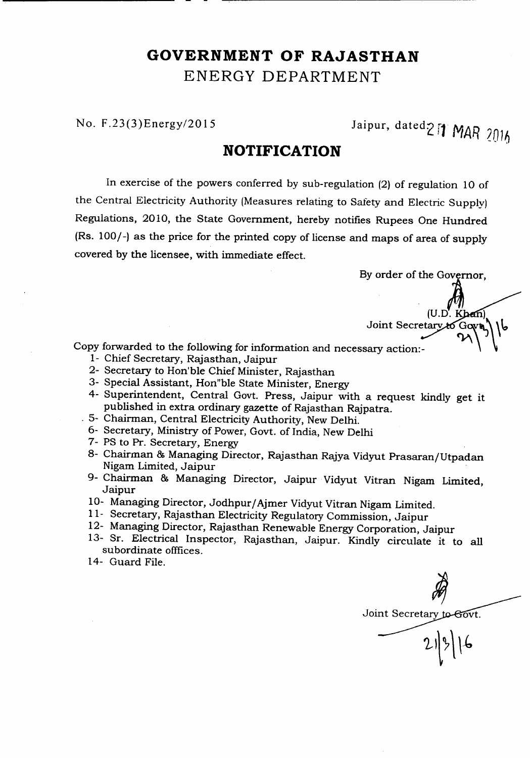ENERGY DEPARTMENT

No. F.23(3)Energy/2015 Jaipur, dated<sub>2</sub><sup>1</sup> *MAR* 2016

#### **NOTIFICATION**

In exercise of the powers conferred by sub-regulation (2) of regulation 10 of the Central Electricity Authority (Measures relating to Safety and Electric Supply) Regulations, 2010, the State Government, hereby notifies Rupees One Hundred (Rs. 100/-) as the price for the printed copy of license and maps of area of supply covered by the licensee, with immediate effect.

By order of the Governor,

 $(U.D.$  Khan Joint Secretary

- 1- Chief Secretary, Rajasthan, Jaipur
- 2- Secretary to Hon'ble Chief Minister, Rajasthan
- 3- Special Assistant, Hon"ble State Minister, Energy
- 4- Superintendent, Central Govt. Press, Jaipur with a request kindly get it published in extra ordinary gazette of Rajasthan Rajpatra.
- . 5- Chairman, Central Electricity Authority, New Delhi.
	- 6- Secretary, Ministry of Power, Govt. of India, New Delhi
	- 7- PS to Pr. Secretary, Energy
- 8- Chairman & Managing Director, Rajasthan Rajya Vidyut Prasaran/Utpadan Nigam Limited, Jaipur
- 9- Chairman & Managing Director, Jaipur Vidyut Vitran Nigam Limited, Jaipur
- 10- Managing Director, Jodhpur/Ajmer Vidyut Vitran Nigam Limited.
- 11- Secretary, Rajasthan Electricity Regulatory Commission, Jaipur
- 12- Managing Director, Rajasthan Renewable Energy Corporation, Jaipur
- 13- Sr. Electrical Inspector, Rajasthan, Jaipur. Kindly circulate it to all subordinate offfices.
- 14- Guard File.

Joint Secretary to Govt.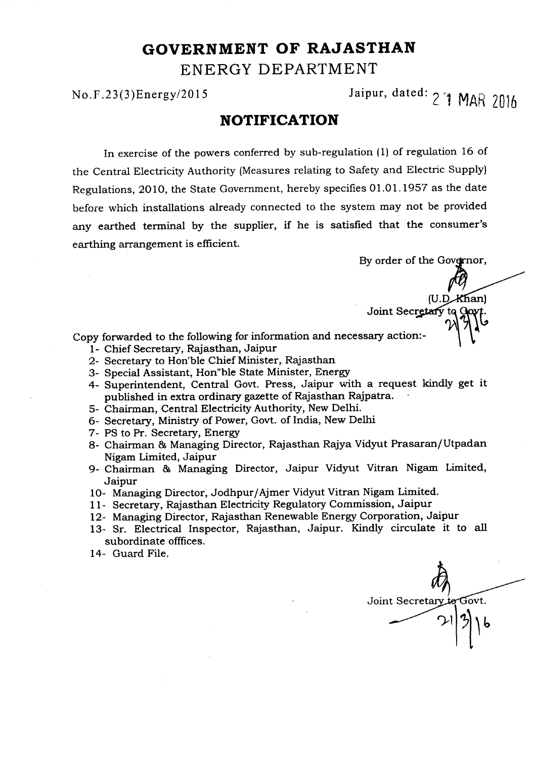ENERGY DEPARTMENT

No.F.23(3)Energy/2015 Jaipur, dated: 2 1 MAR 2016

#### **NOTIFICATION**

In exercise of the powers conferred by sub-regulation (1) of regulation 16 of the Central Electricity Authority (Measures relating to Safety and Electric Supply) Regulations, 2010, the State Government, hereby specifies 01.01.1957 as the date before which installations already connected to the system may not be provided any earthed terminal by the supplier, if he is satisfied that the consumer's earthing arrangement is efficient.

By order of the Governor,

Khan)

Joint Secretary to

- 1- Chief Secretary, Rajasthan, Jaipur
- 2- Secretary to Hon'ble Chief Minister, Rajasthan
- 3- Special Assistant, Hon"ble State Minister, Energy
- 4- Superintendent, Central Govt. Press, Jaipur with a request kindly get it published in extra ordinary gazette of Rajasthan Rajpatra.
- 5- Chairman, Central Electricity Authority, New Delhi.
- 6- Secretary, Ministry of Power, Govt. of India, New Delhi
- 7- PS to Pr. Secretary, Energy
- 8- Chairman & Managing Director, Rajasthan Rajya Vidyut Prasaran/Utpadan Nigam Limited, Jaipur
- 9- Chairman & Managing Director, Jaipur Vidyut Vitran Nigam Limited, Jaipur
- 10- Managing Director, Jodhpur/Ajmer Vidyut Vitran Nigam Limited.
- 11- Secretary, Rajasthan Electricity Regulatory Commission, Jaipur
- 12- Managing Director, Rajasthan Renewable Energy Corporation, Jaipur
- 13- Sr. Electrical Inspector, Rajasthan, Jaipur. Kindly circulate it to all subordinate offfices.
- 14- Guard File.

Joint Secretary to Govt.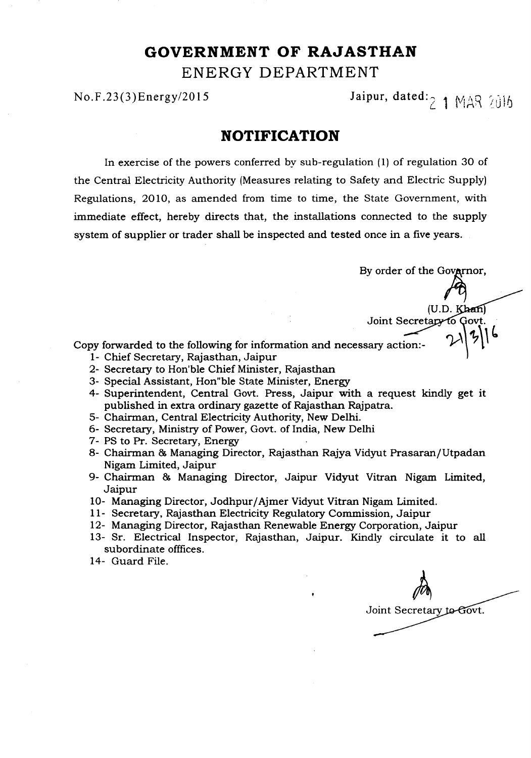ENERGY DEPARTMENT

No.F.23(3)Energy/2015 Jaipur, dated:  $\frac{1}{2}$  1  $\mathsf{MAX}$   $\frac{1}{2}$ 

#### **NOTIFICATION**

In exercise of the powers conferred by sub-regulation  $(1)$  of regulation 30 of the Central Electricity Authority (Measures relating to Safety and Electric Supply) Regulations, 2010, as amended from time to time, the State Government, with immediate effect, hereby directs that, the installations connected to the supply system of supplier or trader shall be inspected and tested once in a five years.

By order of the Govarnor.

(U.D.*~'Q..J."I*

Joint Secretary to Govt.

- 1- Chief Secretary, Rajasthan, Jaipur
- 2- Secretary to Hon'ble Chief Minister, Rajasthan
- 3- Special Assistant, Hon"ble State Minister, Energy
- 4- Superintendent, Central Govt. Press, Jaipur with a request kindly get it published in extra ordinary gazette of Rajasthan Rajpatra.
- 5- Chairman, Central Electricity Authority, New Delhi.
- 6- Secretary, Ministry of Power, Govt. of India, New Delhi
- 7- PS to Pr. Secretary, Energy
- 8- Chairman & Managing Director, Rajasthan Rajya Vidyut Prasaran/Utpadan NigamLimited,Jaipur
- 9- Chairman & Managing Director, Jaipur Vidyut Vitran Nigam Limited, Jaipur
- 10- Managing Director, Jodhpur/Ajmer Vidyut Vitran Nigam Limited.
- 11- Secretary, Rajasthan Electricity Regulatory Commission, Jaipur
- 12- Managing Director, Rajasthan Renewable Energy Corporation, Jaipur
- 13- Sr. Electrical Inspector, Rajasthan, Jaipur. Kindly circulate it to all subordinate offfices.
- 14- Guard File.

Joint Secretary to Govt.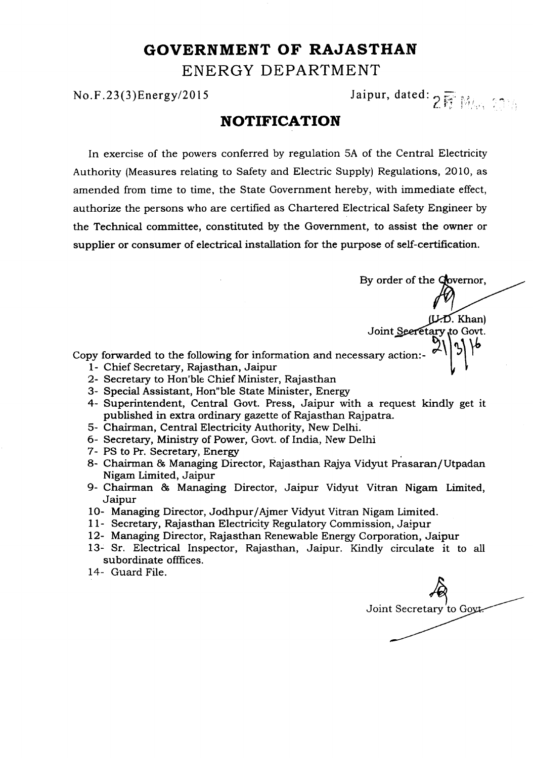ENERGY DEPARTMENT

**No.F.23(3)Energy/2015** Jaipur, dated: 2<sup>1</sup> *M<sub>in</sub>*, 20

#### **NOTIFICATION**

In exercise of the powers conferred by regulation 5A of the Central Electricity Authority (Measures relating to Safety and Electric Supply) Regulations, 2010, as amended from time to time, the State Government hereby, with immediate effect, authorize the persons who are certified as Chartered Electrical Safety Engineer by the Technical committee, constituted by the Government, to assist the owner or supplier or consumer of electrical installation for the purpose of self-certification.

By order of the Governor,

Joint Seeretary to Govt.

 $L$ . Khan)

- 1- Chief Secretary, Rajasthan, Jaipur ~ \
- 2- Secretary to Hon'ble Chief Minister, Rajasthan
- 3- Special Assistant, Hon"ble State Minister, Energy
- 4- Superintendent, Central Govt. Press, Jaipur with a request kindly get it published in extra ordinary gazette of Rajasthan Rajpatra.
- 5- Chairman, Central Electricity Authority, New Delhi.
- 6- Secretary, Ministry of Power, Govt. of India, New Delhi
- 7- PS to Pr. Secretary, Energy .
- 8- Chairman & Managing Director, Rajasthan Rajya Vidyut Prasaran/Utpadan Nigam Limited, Jaipur
- 9- Chairman & Managing Director, Jaipur Vidyut Vitran Nigam Limited, Jaipur
- 10- Managing Director, Jodhpur/Ajmer Vidyut Vitran Nigam Limited.
- 11- Secretary, Rajasthan Electricity Regulatory Commission, Jaipur
- 12- Managing Director, Rajasthan Renewable Energy Corporation, Jaipur
- 13- Sr. Electrical Inspector, Rajasthan, Jaipur. Kindly circulate it to all subordinate offfices.
- 14- Guard File.

.<br>- Joint Secretary to Goyt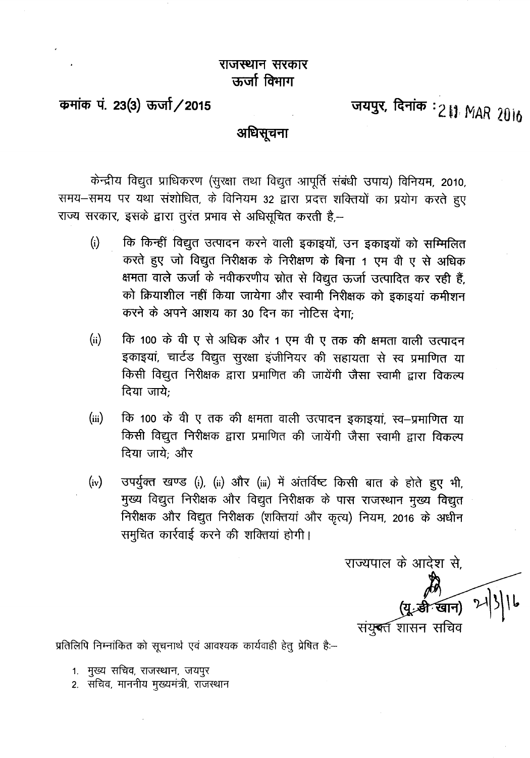कमांक पं. 23(3) ऊर्जा / 2015

जयपुर, दिनांक : 211 MAR 2016

### अधिसूचना

केन्द्रीय विद्युत प्राधिकरण (सुरक्षा तथा विद्युत आपूर्ति संबंधी उपाय) विनियम, 2010, समय-समय पर यथा संशोधित, के विनियम 32 द्वारा प्रदत्त शक्तियों का प्रयोग करते हुए राज्य सरकार, इसके द्वारा तुरंत प्रभाव से अधिसूचित करती है,-

- $(i)$ कि किन्हीं विद्युत उत्पादन करने वाली इकाइयों, उन इकाइयों को सम्मिलित करते हुए जो विद्युत निरीक्षक के निरीक्षण के बिना 1 एम वी ए से अधिक क्षमता वाले ऊर्जा के नवीकरणीय स्रोत से विद्युत ऊर्जा उत्पादित कर रही हैं, को क्रियाशील नहीं किया जायेगा और स्वामी निरीक्षक को इकाइयां कमीशन करने के अपने आशय का 30 दिन का नोटिस देगा:
- कि 100 के वी ए से अधिक और 1 एम वी ए तक की क्षमता वाली उत्पादन  $(ii)$ इकाइयां, चार्टड विद्युत सुरक्षा इंजीनियर की सहायता से स्व प्रमाणित या किसी विद्युत निरीक्षक द्वारा प्रमाणित की जायेंगी जैसा स्वामी द्वारा विकल्प दिया जाये;
- कि 100 के वी ए तक की क्षमता वाली उत्पादन इकाइयां, स्व-प्रमाणित या  $(iii)$ किसी विद्युत निरीक्षक द्वारा प्रमाणित की जायेंगी जैसा स्वामी द्वारा विकल्प दिया जाये: और
- उपर्युक्त खण्ड (i), (ii) और (iii) में अंतर्विष्ट किसी बात के होते हुए भी,  $(iv)$ मुख्य विद्युत निरीक्षक और विद्युत निरीक्षक के पास राजस्थान मुख्य विद्युत निरीक्षक और विद्युत निरीक्षक (शक्तियां और कृत्य) नियम, 2016 के अधीन समुचित कार्रवाई करने की शक्तियां होगी।

राज्यपाल के आदेश से,

संयु**ब**र्त शासन सचिव

प्रतिलिपि निम्नांकित को सूचनार्थ एवं आवश्यक कार्यवाही हेतु प्रेषित है:--

- 1. मुख्य सचिव, राजस्थान, जयपुर
- 2. सचिव, माननीय मुख्यमंत्री, राजस्थान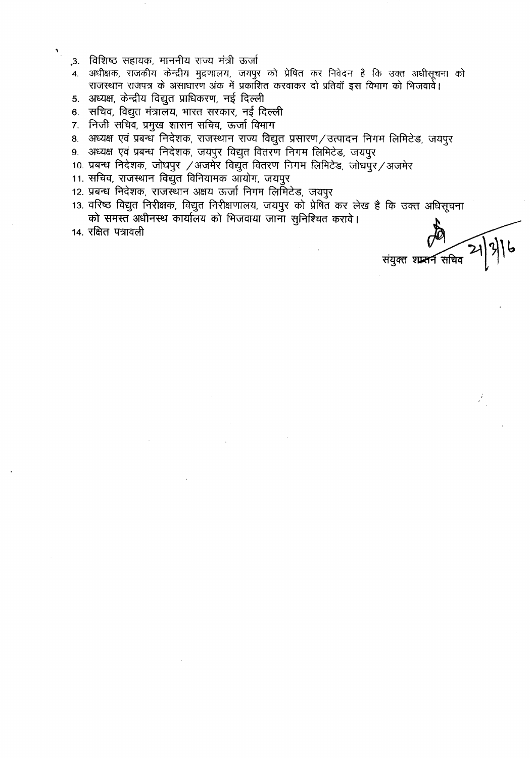- .3. विशिष्ठ सहायक, माननीय राज्य मंत्री ऊर्जा
- 4. अधीक्षक, राजकीय केन्द्रीय मुद्रणालय, जयपुर को प्रेषित कर निवेदन है कि उक्त अधीसूचना को राजस्थान राजपत्र के असाधारण अंक में प्रकाशित करवाकर दो प्रतियाँ इस विभाग को भिजवावें।
- 5. अध्यक्ष, केन्द्रीय विद्युत प्राधिकरण, नई दिल्ली
- 6. सचिव, विद्युत मंत्रालय, भारत सरकार, नई दिल्ली
- 7. निजी सचिव, प्रमुख शासन सचिव, ऊर्जा विभाग
- 8. अध्यक्ष एवं प्रबन्ध निदेशक, राजस्थान राज्य विद्युत प्रसारण/उत्पादन निगम लिमिटेड, जयपुर
- 9. अध्यक्ष एवं प्रबन्ध निदेशक, जयपुर विद्युत वितरण निगम लिमिटेड, जयपुर
- 10. प्रबन्ध निदेशक, जोधपुर /अजमेर विद्युत वितरण निगम लिमिटेड, जोधपुर/अजमेर
- 11. सचिव, राजस्थान विद्युत विनियामक आयोग, जयपुर
- 12. प्रबन्ध निदेशक, राजस्थान अक्षय ऊर्जा निगम लिमिटेड, जयपुर
- 13. वरिष्ठ विद्युत निरीक्षक, विद्युत निरीक्षणालय, जयपुर को प्रेषित कर लेख है कि उक्त अधिसूचना को समस्त अधीनस्थ कार्यालय को भिजवाया जाना सुनिश्चित करावे।
- 14. रक्षित पत्रावली

.<br>संयुक्त शासन सचिव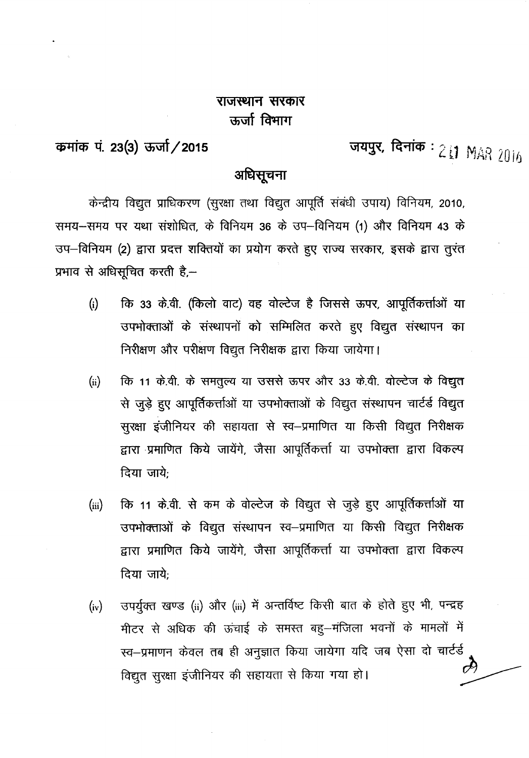कमांक पं. 23(3) ऊर्जा / 2015

जयपुर, दिनांक  $:$  2 [1 MAR 2016

### अधिसूचना

केन्द्रीय विद्युत प्राधिकरण (सूरक्षा तथा विद्युत आपूर्ति संबंधी उपाय) विनियम, 2010, समय-समय पर यथा संशोधित, के विनियम 36 के उप-विनियम (1) और विनियम 43 के उप-विनियम (2) द्वारा प्रदत्त शक्तियों का प्रयोग करते हुए राज्य सरकार, इसके द्वारा तुरंत प्रभाव से अधिसूचित करती है,-

- कि 33 के.वी. (किलो वाट) वह वोल्टेज है जिससे ऊपर, आपूर्तिकर्त्ताओं या  $(i)$ उपभोक्ताओं के संस्थापनों को सम्मिलित करते हुए विद्युत संस्थापन का निरीक्षण और परीक्षण विद्युत निरीक्षक द्वारा किया जायेगा।
- कि 11 के.वी. के समतुल्य या उससे ऊपर और 33 के.वी. वोल्टेज के विद्युत  $(ii)$ से जुड़े हुए आपूर्तिकर्त्ताओं या उपभोक्ताओं के विद्युत संस्थापन चार्टर्ड विद्युत सूरक्षा इंजीनियर की सहायता से स्व-प्रमाणित या किसी विद्युत निरीक्षक द्वारा प्रमाणित किये जायेंगे, जैसा आपूर्तिकर्त्ता या उपभोक्ता द्वारा विकल्प दिया जाये:
- कि 11 के.वी. से कम के वोल्टेज के विद्युत से जुड़े हुए आपूर्तिकर्त्ताओं या  $(iii)$ उपभोक्ताओं के विद्युत संस्थापन स्व-प्रमाणित या किसी विद्युत निरीक्षक द्वारा प्रमाणित किये जायेंगे, जैसा आपूर्तिकर्त्ता या उपभोक्ता द्वारा विकल्प दिया जाये:
- उपर्युक्त खण्ड (ii) और (iii) में अन्तर्विष्ट किसी बात के होते हुए भी, पन्द्रह  $(iv)$ मीटर से अधिक की ऊंचाई के समस्त बहू–मंजिला भवनों के मामलों में स्व–प्रमाणन केवल तब ही अनुज्ञात किया जायेगा यदि जब ऐसा दो चार्टर्ड  $\mathcal{O}^{\prime\prime}$ विद्युत सुरक्षा इंजीनियर की सहायता से किया गया हो।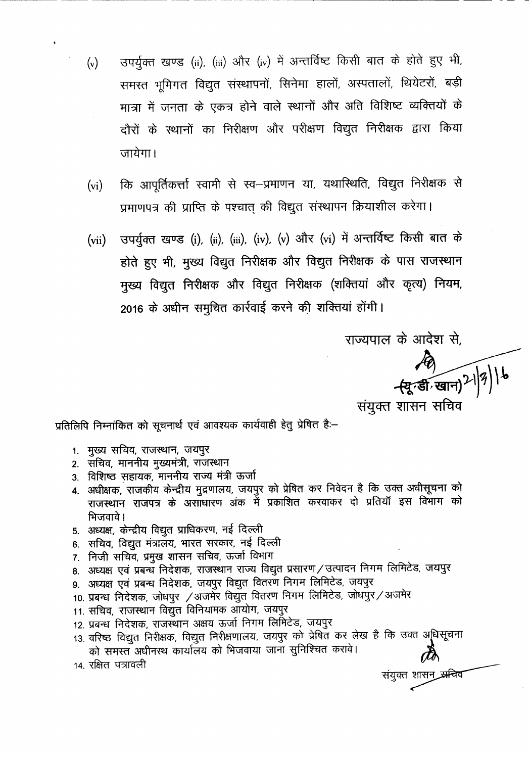- उपर्युक्त खण्ड (ii), (iii) और (iv) में अन्तर्विष्ट किसी बात के होते हुए भी,  $(v)$ समस्त भूमिगत विद्युत संस्थापनों, सिनेमा हालों, अस्पतालों, थियेटरों, बड़ी मात्रा में जनता के एकत्र होने वाले स्थानों और अति विशिष्ट व्यक्तियों के दौरों के स्थानों का निरीक्षण और परीक्षण विद्युत निरीक्षक द्वारा किया जायेगा।
- कि आपूर्तिकर्त्ता स्वामी से स्व-प्रमाणन या, यथास्थिति, विद्युत निरीक्षक से  $(v_i)$ प्रमाणपत्र की प्राप्ति के पश्चात की विद्युत संस्थापन क्रियाशील करेगा।
- उपर्युक्त खण्ड (i), (ii), (iii), (iv), (v) और (vi) में अन्तर्विष्ट किसी बात के  $(vii)$ होते हुए भी, मुख्य विद्युत निरीक्षक और विद्युत निरीक्षक के पास राजस्थान मुख्य विद्युत निरीक्षक और विद्युत निरीक्षक (शक्तियां और कृत्य) नियम, 2016 के अधीन समुचित कार्रवाई करने की शक्तियां होंगी।

राज्यपाल के आदेश से.

स्यूर्ग्<del>डी खान</del>)<sup>21</sup>|8 | 16<br>संयुक्त शासन सचिव

संयुक्त शासन*्रस्र*न्दिव

प्रतिलिपि निम्नांकित को सूचनार्थ एवं आवश्यक कार्यवाही हेतु प्रेषित है:-

- 1. मुख्य सचिव, राजस्थान, जयपुर
- 2. सचिव, माननीय मुख्यमंत्री, राजस्थान
- 3. विशिष्ठ सहायक, माननीय राज्य मंत्री ऊर्जा
- 4. अधीक्षक, राजकीय केन्द्रीय मुद्रणालय, जयपुर को प्रेषित कर निवेदन है कि उक्त अधीसूचना को राजस्थान राजपत्र के असाधारण अंक में प्रकाशित करवाकर दो प्रतियाँ इस विभाग को भिजवावे।
- 5. अध्यक्ष, केन्द्रीय विद्युत प्राधिकरण, नई दिल्ली
- 6. सचिव, विद्युत मंत्रालय, भारत सरकार, नई दिल्ली
- 7. निजी सचिव, प्रमुख शासन सचिव, ऊर्जा विभाग
- 8. अध्यक्ष एवं प्रबन्ध निदेशक, राजस्थान राज्य विद्युत प्रसारण/उत्पादन निगम लिमिटेड, जयपुर
- ९. अध्यक्ष एवं प्रबन्ध निदेशक, जयपुर विद्युत वितरण निगम लिमिटेड, जयपुर
- 10. प्रबन्ध निदेशक, जोधपुर /अजर्मेर विद्युत वितरण निगम लिमिटेड, जोधपुर/अजमेर
- 11. सचिव, राजस्थान विद्युत विनियामक आयोग, जयपुर
- 12. प्रबन्ध निदेशक, राजस्थान अक्षय ऊर्जा निगम लिमिटेड, जयपुर
- 13. वरिष्ठ विद्युत निरीक्षक, विद्युत निरीक्षणालय, जयपुर को प्रेषित कर लेख है कि उक्त अधिसूचना को समस्त अधीनस्थ कार्यालय को भिजवाया जाना सुनिश्चित करावे।
- 14. रक्षित पत्रावली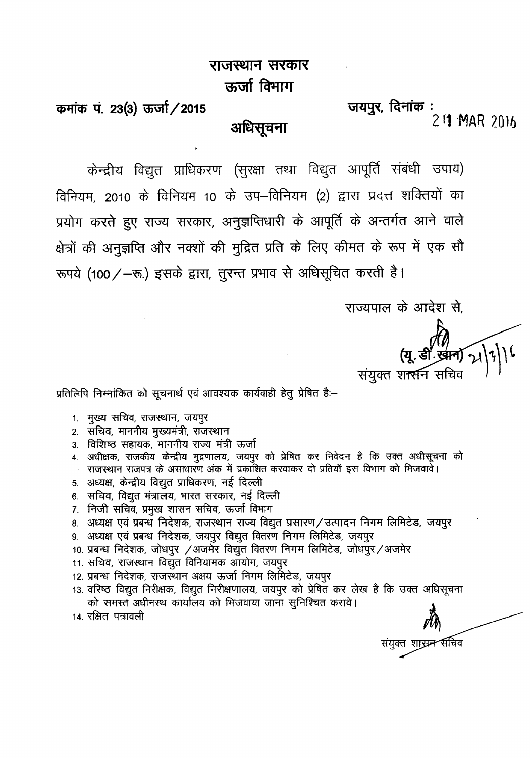जयपुर, दिनांक : कमांक पं. 23(3) ऊर्जा / 2015 211 MAR 2016 अधिसूचना

केन्द्रीय विद्युत प्राधिकरण (सुरक्षा तथा विद्युत आपूर्ति संबंधी उपाय) विनियम, 2010 के विनियम 10 के उप–विनियम (2) द्वारा प्रदत्त शक्तियों का प्रयोग करते हुए राज्य सरकार, अनुज्ञप्तिधारी के आपूर्ति के अन्तर्गत आने वाले क्षेत्रों की अनुज्ञप्ति और नक्शों की मुद्रित प्रति के लिए कीमत के रूप में एक सौ रूपये (100 / - रू.) इसके द्वारा, तुरन्त प्रभाव से अधिसूचित करती है।

राज्यपाल के आदेश से,

संयुक्त शासन

प्रतिलिपि निम्नांकित को सूचनार्थ एवं आवश्यक कार्यवाही हेतु प्रेषित है:-

- 1. मुख्य सचिव, राजस्थान, जयपुर
- 2. सचिव, माननीय मुख्यमंत्री, राजस्थान
- 3. विशिष्ठ सहायक, माननीय राज्य मंत्री ऊर्जा
- 4. अधीक्षक, राजकीय केन्द्रीय मुद्रणालय, जयपुर को प्रेषित कर निवेदन है कि उक्त अधीसूचना को राजस्थान राजपत्र के असाधारण अंक में प्रकॉशित करवाकर दो प्रतियाँ इस विभाग को भिजवावे।
- 5. अध्यक्ष, केन्द्रीय विद्युत प्राधिकरण, नई दिल्ली
- 6. सचिव, विद्युत मंत्रालय, भारत सरकार, नई दिल्ली
- 7. निजी सचिव, प्रमुख शासन सचिव, ऊर्जा विभाग
- 8. अध्यक्ष एवं प्रबन्ध निदेशक, राजस्थान राज्य विद्युत प्रसारण/उत्पादन निगम लिमिटेड, जयपुर
- 9. अध्यक्ष एवं प्रबन्ध निदेशक, जयपुर विद्युत वितरण निगम लिमिटेड, जयपुर
- 10. प्रबन्ध निदेशक, जोधपुर /अजमेर विद्युत वितरण निगम लिमिटेड, जोधपुर/अजमेर
- 11. सचिव, राजस्थान विद्युत विनियामक आयोग, जयपुर
- 12. प्रबन्ध निदेशक, राजस्थान अक्षय ऊर्जा निगम लिमिटेड, जयपुर
- 13. वरिष्ठ विद्युत निरीक्षक, विद्युत निरीक्षणालय, जयपुर को प्रेषित कर लेख है कि उक्त अधिसूचना को समस्त अधीनस्थ कार्यालय को भिजवाया जाना सुनिश्चित करावे।
- 14. रक्षित पत्रावली

∕सचिव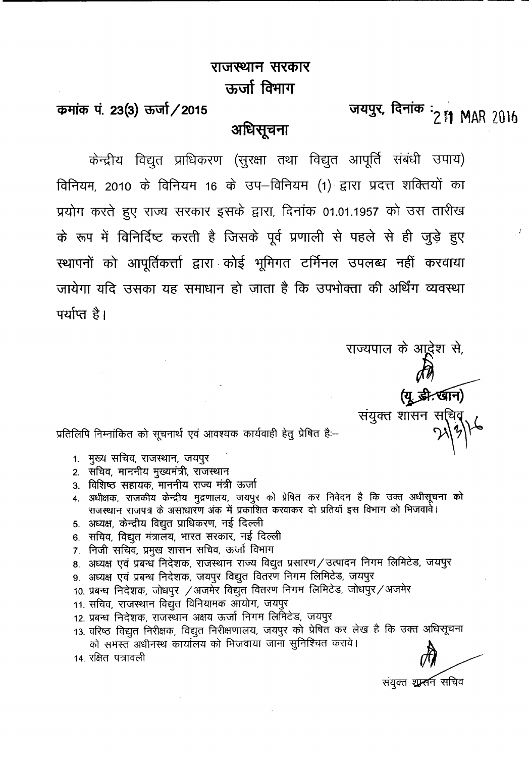जयपुर, दिनांक : 2 ¶ MAR 2016 कमांक पं. 23(3) ऊर्जा / 2015 अधिसूचना

केन्द्रीय विद्युत प्राधिकरण (सुरक्षा तथा विद्युत आपूर्ति संबंधी उपाय) विनियम, 2010 के विनियम 16 के उप-विनियम (1) द्वारा प्रदत्त शक्तियों का प्रयोग करते हुए राज्य सरकार इसके द्वारा, दिनांक 01.01.1957 को उस तारीख के रूप में विनिर्दिष्ट करती है जिसके पूर्व प्रणाली से पहले से ही जुड़े हुए स्थापनों को आपूर्तिकर्त्ता द्वारा कोई भूमिगत टर्मिनल उपलब्ध नहीं करवाया जायेगा यदि उसका यह समाधान हो जाता है कि उपभोक्ता की अर्थिंग व्यवस्था पर्याप्त है।

> (यू. डी. खान) संयुक्त शासन र

राज्यपाल के आद्रेश से,

प्रतिलिपि निम्नांकित को सूचनार्थ एवं आवश्यक कार्यवाही हेतु प्रेषित है:--

- 1. मुख्य सचिव, राजस्थान, जयपुर
- 2. सचिव, माननीय मुख्यमंत्री, राजस्थान
- 3. विशिष्ठ सहायक, माननीय राज्य मंत्री ऊर्जा
- 4. अधीक्षक, राजकीय केन्द्रीय मुद्रणालय, जयपुर को प्रेषित कर निवेदन है कि उक्त अधीसूचना को राजस्थान राजपत्र के असाधारण अंक में प्रकाशित करवाकर दो प्रतियॉ इस विभाग को भिजवावे।
- 5. अध्यक्ष, केन्द्रीय विद्युत प्राधिकरण, नई दिल्ली
- 6. सचिव, विद्युत मंत्रालय, भारत सरकार, नई दिल्ली
- 7. निजी सचिव, प्रमुख शासन सचिव, ऊर्जा विभाग
- 8. अध्यक्ष एवं प्रबन्ध निदेशक, राजस्थान राज्य विद्युत प्रसारण/उत्पादन निगम लिमिटेड, जयपुर
- 9. अध्यक्ष एवं प्रबन्ध निदेशक, जयपुर विद्युत वितरण निगम लिमिटेड, जयपुर
- 10. प्रबन्ध निदेशक, जोधपुर /अजमेर विद्युत वितरण निगम लिमिटेड, जोधपुर/अजमेर
- 11. सचिव, राजस्थान विद्युत विनियामक आयोग, जयपुर
- 12. प्रबन्ध निदेशक, राजस्थान अक्षय ऊर्जा निगम लिमिटेड, जयपूर
- 13. वरिष्ठ विद्युत निरीक्षक, विद्युत निरीक्षणालय, जयपुर को प्रेषित कर लेख है कि उक्त अधिसूचना को समस्त अधीनस्थ कार्यालय को भिजवाया जाना सुनिश्चित करावे।
- 14. रक्षित पत्रावली

संयुक्त शुक्लन सचिव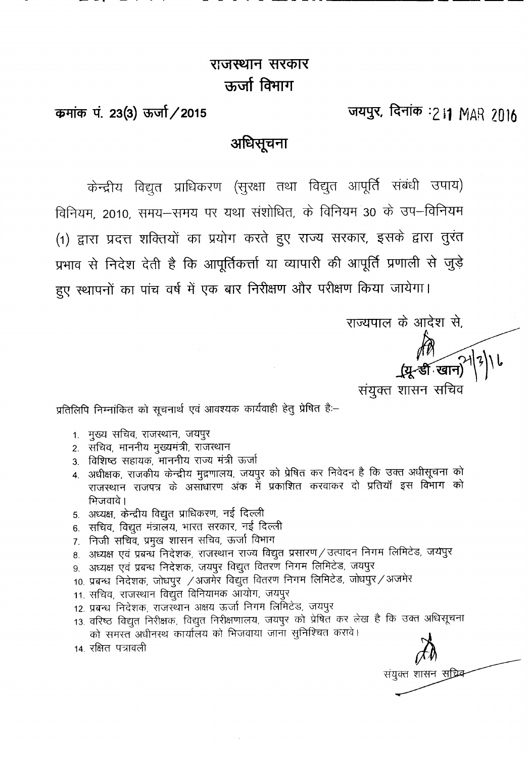जयपुर, दिनांक : 211 MAR 2016

कमांक पं. 23(3) ऊर्जा / 2015

# अधिसूचना

विद्युत प्राधिकरण (सुरक्षा तथा विद्युत आपूर्ति संबंधी उपाय) केन्द्रीय विनियम, 2010, समय-समय पर यथा संशोधित, के विनियम 30 के उप-विनियम (1) द्वारा प्रदत्त शक्तियों का प्रयोग करते हुए राज्य सरकार, इसके द्वारा तुरंत प्रभाव से निदेश देती है कि आपूर्तिकर्त्ता या व्यापारी की आपूर्ति प्रणाली से जुड़े हुए स्थापनों का पांच वर्ष में एक बार निरीक्षण और परीक्षण किया जायेगा।

राज्यपाल के आदेश से,

्र*्। । ।*<br>(प्रू-डी खान) संयुक्त शासन सचिव

प्रतिलिपि निम्नांकित को सूचनार्थ एवं आवश्यक कार्यवाही हेतु प्रेषित है:–

- 1. मुख्य सचिव, राजस्थान, जयपुर
- 2. सचिव, माननीय मुख्यमंत्री, राजस्थान
- 3. विशिष्ठ सहायक, माननीय राज्य मंत्री ऊर्जा
- 4. अधीक्षक, राजकीय केन्द्रीय मुद्रणालय, जयपुर को प्रेषित कर निवेदन है कि उक्त अधीसूचना को राजस्थान राजपत्र के असाधारण अंक में प्रकाशित करवाकर दो प्रतियाँ इस विभाग को भिजवावे।
- 5. अध्यक्ष, केन्द्रीय विद्युत प्राधिकरण, नई दिल्ली
- 6. सचिव, विद्युत मंत्रालय, भारत सरकार, नई दिल्ली
- 7. निजी सचिव, प्रमुख शासन सचिव, ऊर्जा विभाग
- 8. अध्यक्ष एवं प्रबन्ध निदेशक, राजस्थान राज्य विद्युत प्रसारण / उत्पादन निगम लिमिटेड, जयपुर
- ९. अध्यक्ष एवं प्रबन्ध निदेशक, जयपुर विद्युत वितरण निगम लिमिटेड, जयपुर
- 10. प्रबन्ध निदेशक, जोधपुर /अजमेर विद्युत वितरण निगम लिमिटेड, जोधपुर/अजमेर
- 11. सचिव, राजस्थान विद्युत विनियामक आयोग, जयपुर
- 12. प्रबन्ध निदेशक, राजस्थान अक्षय ऊर्जा निगम लिमिटेड, जयपुर
- 13. वरिष्ठ विद्युत निरीक्षक, विद्युत निरीक्षणालय, जयपुर को प्रेषित कर लेख है कि उक्त अधिसूचना को समस्त अधीनस्थ कार्यालय को भिजवाया जाना सुनिश्चित करावे।
- 14. रक्षित पत्रावली

संयुक्त शासन सच्चिम